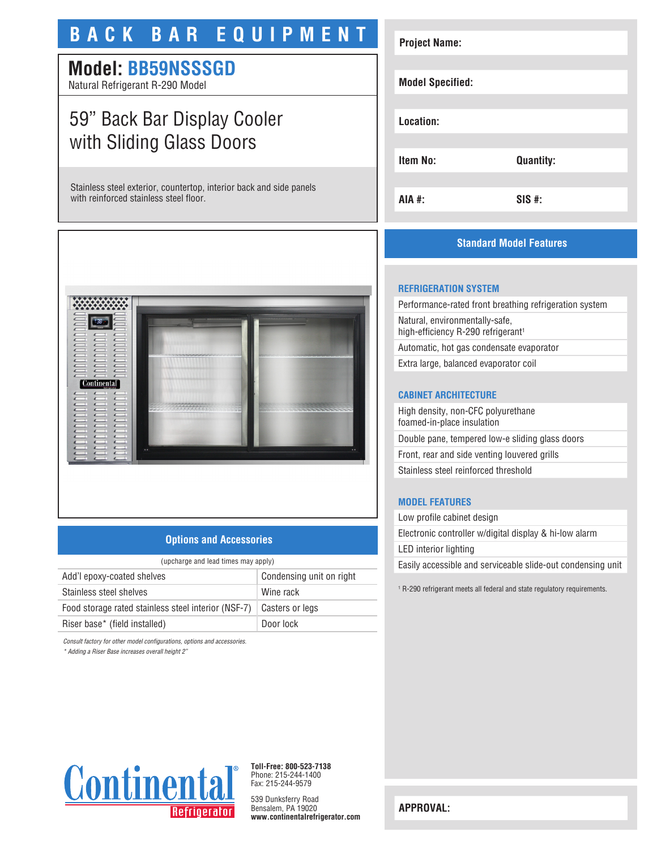## **BACK BAR EQUIPMENT**

### **Model: BB59NSSSGD**

Natural Refrigerant R-290 Model

## 59" Back Bar Display Cooler with Sliding Glass Doors

Stainless steel exterior, countertop, interior back and side panels with reinforced stainless steel floor.



#### **Options and Accessories**

| (upcharge and lead times may apply)                 |                          |  |
|-----------------------------------------------------|--------------------------|--|
| Add'l epoxy-coated shelves                          | Condensing unit on right |  |
| Stainless steel shelves                             | Wine rack                |  |
| Food storage rated stainless steel interior (NSF-7) | Casters or legs          |  |
| Riser base* (field installed)                       | Door lock                |  |

*Consult factory for other model configurations, options and accessories.*

*\* Adding a Riser Base increases overall height 2"*

# **Project Name: Model Specified: Location: Item No: Quantity: AIA #: SIS #:**

#### **Standard Model Features**

#### **REFRIGERATION SYSTEM**

Performance-rated front breathing refrigeration system Natural, environmentally-safe, high-efficiency R-290 refrigerant<sup>1</sup> Automatic, hot gas condensate evaporator

Extra large, balanced evaporator coil

#### **CABINET ARCHITECTURE**

High density, non-CFC polyurethane foamed-in-place insulation Double pane, tempered low-e sliding glass doors Front, rear and side venting louvered grills Stainless steel reinforced threshold

#### **MODEL FEATURES**

Low profile cabinet design Electronic controller w/digital display & hi-low alarm LED interior lighting Easily accessible and serviceable slide-out condensing unit

1 R-290 refrigerant meets all federal and state regulatory requirements.



**Toll-Free: 800-523-7138** Phone: 215-244-1400 Fax: 215-244-9579

539 Dunksferry Road Bensalem, PA 19020 **www.continentalrefrigerator.com** 

**APPROVAL:**